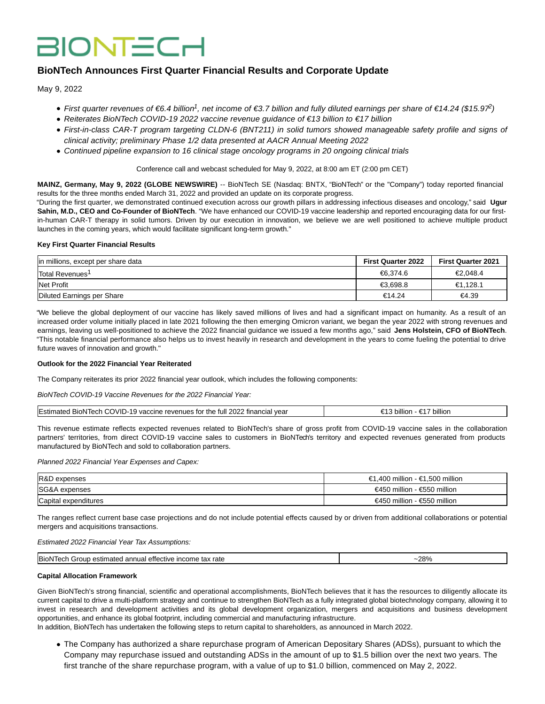# **BIONTECH**

# **BioNTech Announces First Quarter Financial Results and Corporate Update**

May 9, 2022

- First quarter revenues of €6.4 billion<sup>1</sup>, net income of €3.7 billion and fully diluted earnings per share of €14.24 (\$15.97)
- Reiterates BioNTech COVID-19 2022 vaccine revenue guidance of €13 billion to €17 billion
- First-in-class CAR-T program targeting CLDN-6 (BNT211) in solid tumors showed manageable safety profile and signs of clinical activity; preliminary Phase 1/2 data presented at AACR Annual Meeting 2022
- Continued pipeline expansion to 16 clinical stage oncology programs in 20 ongoing clinical trials

# Conference call and webcast scheduled for May 9, 2022, at 8:00 am ET (2:00 pm CET)

**MAINZ, Germany, May 9, 2022 (GLOBE NEWSWIRE)** -- BioNTech SE (Nasdaq: BNTX, "BioNTech" or the "Company") today reported financial results for the three months ended March 31, 2022 and provided an update on its corporate progress.

"During the first quarter, we demonstrated continued execution across our growth pillars in addressing infectious diseases and oncology," said **Ugur Sahin, M.D., CEO and Co-Founder of BioNTech**. "We have enhanced our COVID-19 vaccine leadership and reported encouraging data for our firstin-human CAR-T therapy in solid tumors. Driven by our execution in innovation, we believe we are well positioned to achieve multiple product launches in the coming years, which would facilitate significant long-term growth."

# **Key First Quarter Financial Results**

| in millions, except per share data | <b>First Quarter 2022</b> | <b>First Quarter 2021</b> |
|------------------------------------|---------------------------|---------------------------|
| Total Revenues <sup>1</sup>        | €6.374.6                  | €2.048.4                  |
| Net Profit                         | €3.698.8                  | €1.128.1                  |
| Diluted Earnings per Share         | €14.24                    | €4.39                     |

"We believe the global deployment of our vaccine has likely saved millions of lives and had a significant impact on humanity. As a result of an increased order volume initially placed in late 2021 following the then emerging Omicron variant, we began the year 2022 with strong revenues and earnings, leaving us well-positioned to achieve the 2022 financial guidance we issued a few months ago," said **Jens Holstein, CFO of BioNTech**. "This notable financial performance also helps us to invest heavily in research and development in the years to come fueling the potential to drive future waves of innovation and growth."

# **Outlook for the 2022 Financial Year Reiterated**

The Company reiterates its prior 2022 financial year outlook, which includes the following components:

BioNTech COVID-19 Vaccine Revenues for the 2022 Financial Year:

| Estimated BioNTech COVID-19 vaccine revenues for the full 2022 financial vear | billion<br>billior |
|-------------------------------------------------------------------------------|--------------------|
|-------------------------------------------------------------------------------|--------------------|

This revenue estimate reflects expected revenues related to BioNTech's share of gross profit from COVID-19 vaccine sales in the collaboration partners' territories, from direct COVID-19 vaccine sales to customers in BioNTech's territory and expected revenues generated from products manufactured by BioNTech and sold to collaboration partners.

Planned 2022 Financial Year Expenses and Capex:

| R&D expenses             | €1.400 million - €1.500 million |
|--------------------------|---------------------------------|
| <b>SG&amp;A</b> expenses | €450 million - €550 million     |
| Capital expenditures     | €450 million - €550 million     |

The ranges reflect current base case projections and do not include potential effects caused by or driven from additional collaborations or potential mergers and acquisitions transactions.

Estimated 2022 Financial Year Tax Assumptions:

| <b>IBioN</b><br>⊤tax rate<br>annual<br>i effective income<br>arour<br>estimated<br>⌒⌒ド<br>יור.<br>. | $-280'$<br>∠o% |
|-----------------------------------------------------------------------------------------------------|----------------|
|                                                                                                     |                |

#### **Capital Allocation Framework**

Given BioNTech's strong financial, scientific and operational accomplishments, BioNTech believes that it has the resources to diligently allocate its current capital to drive a multi-platform strategy and continue to strengthen BioNTech as a fully integrated global biotechnology company, allowing it to invest in research and development activities and its global development organization, mergers and acquisitions and business development opportunities, and enhance its global footprint, including commercial and manufacturing infrastructure.

In addition, BioNTech has undertaken the following steps to return capital to shareholders, as announced in March 2022.

The Company has authorized a share repurchase program of American Depositary Shares (ADSs), pursuant to which the Company may repurchase issued and outstanding ADSs in the amount of up to \$1.5 billion over the next two years. The first tranche of the share repurchase program, with a value of up to \$1.0 billion, commenced on May 2, 2022.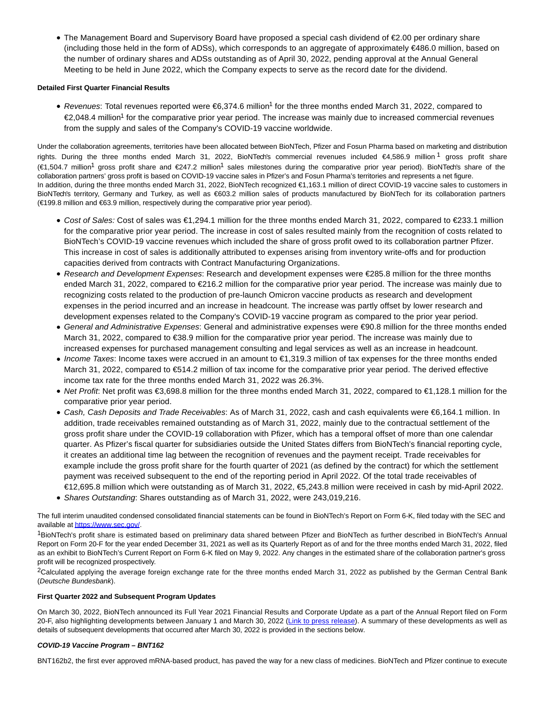The Management Board and Supervisory Board have proposed a special cash dividend of €2.00 per ordinary share (including those held in the form of ADSs), which corresponds to an aggregate of approximately €486.0 million, based on the number of ordinary shares and ADSs outstanding as of April 30, 2022, pending approval at the Annual General Meeting to be held in June 2022, which the Company expects to serve as the record date for the dividend.

# **Detailed First Quarter Financial Results**

Revenues: Total revenues reported were €6,374.6 million<sup>1</sup> for the three months ended March 31, 2022, compared to €2,048.4 million<sup>1</sup> for the comparative prior year period. The increase was mainly due to increased commercial revenues from the supply and sales of the Company's COVID-19 vaccine worldwide.

Under the collaboration agreements, territories have been allocated between BioNTech, Pfizer and Fosun Pharma based on marketing and distribution rights. During the three months ended March 31, 2022, BioNTech's commercial revenues included €4,586.9 million<sup>1</sup> gross profit share (€1,504.7 million<sup>1</sup> gross profit share and €247.2 million<sup>1</sup> sales milestones during the comparative prior year period). BioNTech's share of the collaboration partners' gross profit is based on COVID-19 vaccine sales in Pfizer's and Fosun Pharma's territories and represents a net figure. In addition, during the three months ended March 31, 2022, BioNTech recognized €1,163.1 million of direct COVID-19 vaccine sales to customers in BioNTech's territory, Germany and Turkey, as well as €603.2 million sales of products manufactured by BioNTech for its collaboration partners (€199.8 million and €63.9 million, respectively during the comparative prior year period).

- Cost of Sales: Cost of sales was €1,294.1 million for the three months ended March 31, 2022, compared to €233.1 million for the comparative prior year period. The increase in cost of sales resulted mainly from the recognition of costs related to BioNTech's COVID-19 vaccine revenues which included the share of gross profit owed to its collaboration partner Pfizer. This increase in cost of sales is additionally attributed to expenses arising from inventory write-offs and for production capacities derived from contracts with Contract Manufacturing Organizations.
- Research and Development Expenses: Research and development expenses were €285.8 million for the three months ended March 31, 2022, compared to €216.2 million for the comparative prior year period. The increase was mainly due to recognizing costs related to the production of pre-launch Omicron vaccine products as research and development expenses in the period incurred and an increase in headcount. The increase was partly offset by lower research and development expenses related to the Company's COVID-19 vaccine program as compared to the prior year period.
- General and Administrative Expenses: General and administrative expenses were €90.8 million for the three months ended March 31, 2022, compared to €38.9 million for the comparative prior year period. The increase was mainly due to increased expenses for purchased management consulting and legal services as well as an increase in headcount.
- Income Taxes: Income taxes were accrued in an amount to €1,319.3 million of tax expenses for the three months ended March 31, 2022, compared to €514.2 million of tax income for the comparative prior year period. The derived effective income tax rate for the three months ended March 31, 2022 was 26.3%.
- Net Profit: Net profit was €3,698.8 million for the three months ended March 31, 2022, compared to €1,128.1 million for the comparative prior year period.
- Cash, Cash Deposits and Trade Receivables: As of March 31, 2022, cash and cash equivalents were €6,164.1 million. In addition, trade receivables remained outstanding as of March 31, 2022, mainly due to the contractual settlement of the gross profit share under the COVID-19 collaboration with Pfizer, which has a temporal offset of more than one calendar quarter. As Pfizer's fiscal quarter for subsidiaries outside the United States differs from BioNTech's financial reporting cycle, it creates an additional time lag between the recognition of revenues and the payment receipt. Trade receivables for example include the gross profit share for the fourth quarter of 2021 (as defined by the contract) for which the settlement payment was received subsequent to the end of the reporting period in April 2022. Of the total trade receivables of €12,695.8 million which were outstanding as of March 31, 2022, €5,243.8 million were received in cash by mid-April 2022.
- Shares Outstanding: Shares outstanding as of March 31, 2022, were 243,019,216.

The full interim unaudited condensed consolidated financial statements can be found in BioNTech's Report on Form 6-K, filed today with the SEC and available a[t https://www.sec.gov/.](https://www.globenewswire.com/Tracker?data=MkFAIN-8-R9bWzouzUE9W_r3Ws_xcabhrF_8S7pGy6A6qc6AoxhIcDi1Pg0F_mB6x0KvTezAaCeJL09H4Do_5az-5ta-B2iXANJZk_XT_Bk=)

<sup>1</sup>BioNTech's profit share is estimated based on preliminary data shared between Pfizer and BioNTech as further described in BioNTech's Annual Report on Form 20-F for the year ended December 31, 2021 as well as its Quarterly Report as of and for the three months ended March 31, 2022, filed as an exhibit to BioNTech's Current Report on Form 6-K filed on May 9, 2022. Any changes in the estimated share of the collaboration partner's gross profit will be recognized prospectively.

<sup>2</sup>Calculated applying the average foreign exchange rate for the three months ended March 31, 2022 as published by the German Central Bank (Deutsche Bundesbank).

# **First Quarter 2022 and Subsequent Program Updates**

On March 30, 2022, BioNTech announced its Full Year 2021 Financial Results and Corporate Update as a part of the Annual Report filed on Form 20-F, also highlighting developments between January 1 and March 30, 2022 [\(Link to press release\).](https://www.globenewswire.com/Tracker?data=hIyutIPQVJFEl9OZF8s29GY5y8or9E2vPsGJL_o57o0gj_ZJKpPBFl-WG8WbMUmAi8yF4d02YfBMj_pxqRDvg4pr0J5282V1saZ4adTdKqwsPewM01CFAdPVikfdo_dn4FlMdO-O_F93gmaieOrDCNDstnKcIrLnZ1KfPoiwAY_ajLqMb2QTgR-sabwbs7_EJyXo4EnZncLdTOOKTstTHH91pYgYjnSHr4_JGUfH9Ug=) A summary of these developments as well as details of subsequent developments that occurred after March 30, 2022 is provided in the sections below.

# **COVID-19 Vaccine Program – BNT162**

BNT162b2, the first ever approved mRNA-based product, has paved the way for a new class of medicines. BioNTech and Pfizer continue to execute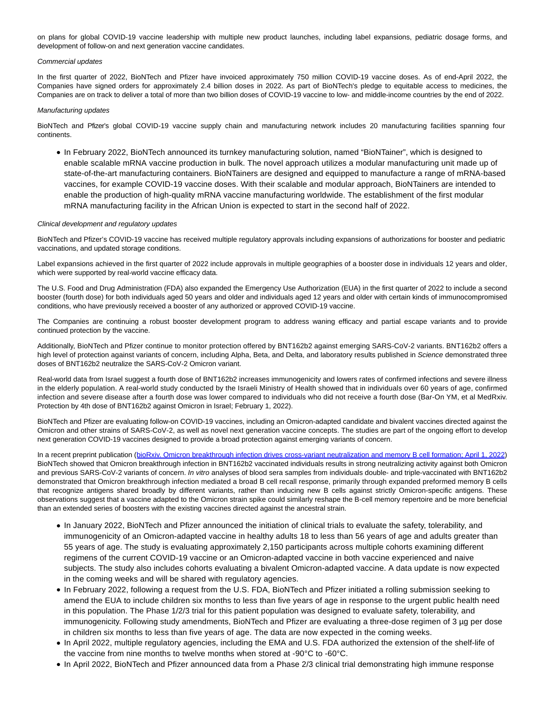on plans for global COVID-19 vaccine leadership with multiple new product launches, including label expansions, pediatric dosage forms, and development of follow-on and next generation vaccine candidates.

#### Commercial updates

In the first quarter of 2022, BioNTech and Pfizer have invoiced approximately 750 million COVID-19 vaccine doses. As of end-April 2022, the Companies have signed orders for approximately 2.4 billion doses in 2022. As part of BioNTech's pledge to equitable access to medicines, the Companies are on track to deliver a total of more than two billion doses of COVID-19 vaccine to low- and middle-income countries by the end of 2022.

#### Manufacturing updates

BioNTech and Pfizer's global COVID-19 vaccine supply chain and manufacturing network includes 20 manufacturing facilities spanning four continents.

In February 2022, BioNTech announced its turnkey manufacturing solution, named "BioNTainer", which is designed to enable scalable mRNA vaccine production in bulk. The novel approach utilizes a modular manufacturing unit made up of state-of-the-art manufacturing containers. BioNTainers are designed and equipped to manufacture a range of mRNA-based vaccines, for example COVID-19 vaccine doses. With their scalable and modular approach, BioNTainers are intended to enable the production of high-quality mRNA vaccine manufacturing worldwide. The establishment of the first modular mRNA manufacturing facility in the African Union is expected to start in the second half of 2022.

#### Clinical development and regulatory updates

BioNTech and Pfizer's COVID-19 vaccine has received multiple regulatory approvals including expansions of authorizations for booster and pediatric vaccinations, and updated storage conditions.

Label expansions achieved in the first quarter of 2022 include approvals in multiple geographies of a booster dose in individuals 12 years and older, which were supported by real-world vaccine efficacy data.

The U.S. Food and Drug Administration (FDA) also expanded the Emergency Use Authorization (EUA) in the first quarter of 2022 to include a second booster (fourth dose) for both individuals aged 50 years and older and individuals aged 12 years and older with certain kinds of immunocompromised conditions, who have previously received a booster of any authorized or approved COVID-19 vaccine.

The Companies are continuing a robust booster development program to address waning efficacy and partial escape variants and to provide continued protection by the vaccine.

Additionally, BioNTech and Pfizer continue to monitor protection offered by BNT162b2 against emerging SARS-CoV-2 variants. BNT162b2 offers a high level of protection against variants of concern, including Alpha, Beta, and Delta, and laboratory results published in Science demonstrated three doses of BNT162b2 neutralize the SARS-CoV-2 Omicron variant.

Real-world data from Israel suggest a fourth dose of BNT162b2 increases immunogenicity and lowers rates of confirmed infections and severe illness in the elderly population. A real-world study conducted by the Israeli Ministry of Health showed that in individuals over 60 years of age, confirmed infection and severe disease after a fourth dose was lower compared to individuals who did not receive a fourth dose (Bar-On YM, et al MedRxiv. Protection by 4th dose of BNT162b2 against Omicron in Israel; February 1, 2022).

BioNTech and Pfizer are evaluating follow-on COVID-19 vaccines, including an Omicron-adapted candidate and bivalent vaccines directed against the Omicron and other strains of SARS-CoV-2, as well as novel next generation vaccine concepts. The studies are part of the ongoing effort to develop next generation COVID-19 vaccines designed to provide a broad protection against emerging variants of concern.

In a recent preprint publication [\(bioRxiv. Omicron breakthrough infection drives cross-variant neutralization and memory B cell formation; April 1, 2022\)](https://www.globenewswire.com/Tracker?data=ytz5w9f6_R4g5NJkd8oDsWAuwPkg2_uS3cRb1tqyJ7tcVriFdYRWQQXQae58iSyh53gPNn-6AE6oMct3hwMmKAB0Dv3LL8wWeHXBkm62NE8Fg-HGwes0bdbloSq9yVr3QXFrgwSc8Mwn3P3lY3Y0D1_RPyZaoRQ8OnBcAsmelrS9b6gJbx9OOeqKCl_r6_fDALMjQe1YG3x387yHscqGnLGD4h70cZiX_4zMtcBB-_mQdxNQN7mic214Tpl_RHAqcE28vFirhxbuYheNke8vgw==) BioNTech showed that Omicron breakthrough infection in BNT162b2 vaccinated individuals results in strong neutralizing activity against both Omicron and previous SARS-CoV-2 variants of concern. In vitro analyses of blood sera samples from individuals double- and triple-vaccinated with BNT162b2 demonstrated that Omicron breakthrough infection mediated a broad B cell recall response, primarily through expanded preformed memory B cells that recognize antigens shared broadly by different variants, rather than inducing new B cells against strictly Omicron-specific antigens. These observations suggest that a vaccine adapted to the Omicron strain spike could similarly reshape the B-cell memory repertoire and be more beneficial than an extended series of boosters with the existing vaccines directed against the ancestral strain.

- In January 2022, BioNTech and Pfizer announced the initiation of clinical trials to evaluate the safety, tolerability, and immunogenicity of an Omicron-adapted vaccine in healthy adults 18 to less than 56 years of age and adults greater than 55 years of age. The study is evaluating approximately 2,150 participants across multiple cohorts examining different regimens of the current COVID-19 vaccine or an Omicron-adapted vaccine in both vaccine experienced and naive subjects. The study also includes cohorts evaluating a bivalent Omicron-adapted vaccine. A data update is now expected in the coming weeks and will be shared with regulatory agencies.
- In February 2022, following a request from the U.S. FDA, BioNTech and Pfizer initiated a rolling submission seeking to amend the EUA to include children six months to less than five years of age in response to the urgent public health need in this population. The Phase 1/2/3 trial for this patient population was designed to evaluate safety, tolerability, and immunogenicity. Following study amendments, BioNTech and Pfizer are evaluating a three-dose regimen of 3 µg per dose in children six months to less than five years of age. The data are now expected in the coming weeks.
- In April 2022, multiple regulatory agencies, including the EMA and U.S. FDA authorized the extension of the shelf-life of the vaccine from nine months to twelve months when stored at -90°C to -60°C.
- In April 2022, BioNTech and Pfizer announced data from a Phase 2/3 clinical trial demonstrating high immune response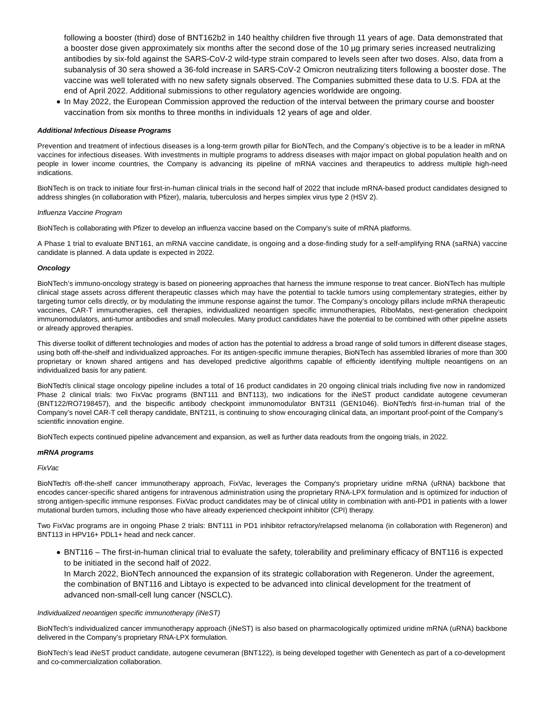following a booster (third) dose of BNT162b2 in 140 healthy children five through 11 years of age. Data demonstrated that a booster dose given approximately six months after the second dose of the 10 µg primary series increased neutralizing antibodies by six-fold against the SARS-CoV-2 wild-type strain compared to levels seen after two doses. Also, data from a subanalysis of 30 sera showed a 36-fold increase in SARS-CoV-2 Omicron neutralizing titers following a booster dose. The vaccine was well tolerated with no new safety signals observed. The Companies submitted these data to U.S. FDA at the end of April 2022. Additional submissions to other regulatory agencies worldwide are ongoing.

• In May 2022, the European Commission approved the reduction of the interval between the primary course and booster vaccination from six months to three months in individuals 12 years of age and older.

### **Additional Infectious Disease Programs**

Prevention and treatment of infectious diseases is a long-term growth pillar for BioNTech, and the Company's objective is to be a leader in mRNA vaccines for infectious diseases. With investments in multiple programs to address diseases with major impact on global population health and on people in lower income countries, the Company is advancing its pipeline of mRNA vaccines and therapeutics to address multiple high-need indications.

BioNTech is on track to initiate four first-in-human clinical trials in the second half of 2022 that include mRNA-based product candidates designed to address shingles (in collaboration with Pfizer), malaria, tuberculosis and herpes simplex virus type 2 (HSV 2).

#### Influenza Vaccine Program

BioNTech is collaborating with Pfizer to develop an influenza vaccine based on the Company's suite of mRNA platforms.

A Phase 1 trial to evaluate BNT161, an mRNA vaccine candidate, is ongoing and a dose-finding study for a self-amplifying RNA (saRNA) vaccine candidate is planned. A data update is expected in 2022.

#### **Oncology**

BioNTech's immuno-oncology strategy is based on pioneering approaches that harness the immune response to treat cancer. BioNTech has multiple clinical stage assets across different therapeutic classes which may have the potential to tackle tumors using complementary strategies, either by targeting tumor cells directly, or by modulating the immune response against the tumor. The Company's oncology pillars include mRNA therapeutic vaccines, CAR-T immunotherapies, cell therapies, individualized neoantigen specific immunotherapies, RiboMabs, next-generation checkpoint immunomodulators, anti-tumor antibodies and small molecules. Many product candidates have the potential to be combined with other pipeline assets or already approved therapies.

This diverse toolkit of different technologies and modes of action has the potential to address a broad range of solid tumors in different disease stages, using both off-the-shelf and individualized approaches. For its antigen-specific immune therapies, BioNTech has assembled libraries of more than 300 proprietary or known shared antigens and has developed predictive algorithms capable of efficiently identifying multiple neoantigens on an individualized basis for any patient.

BioNTech's clinical stage oncology pipeline includes a total of 16 product candidates in 20 ongoing clinical trials including five now in randomized Phase 2 clinical trials: two FixVac programs (BNT111 and BNT113), two indications for the iNeST product candidate autogene cevumeran (BNT122/RO7198457), and the bispecific antibody checkpoint immunomodulator BNT311 (GEN1046). BioNTech's first-in-human trial of the Company's novel CAR-T cell therapy candidate, BNT211, is continuing to show encouraging clinical data, an important proof-point of the Company's scientific innovation engine.

BioNTech expects continued pipeline advancement and expansion, as well as further data readouts from the ongoing trials, in 2022.

#### **mRNA programs**

#### FixVac

BioNTech's off-the-shelf cancer immunotherapy approach, FixVac, leverages the Company's proprietary uridine mRNA (uRNA) backbone that encodes cancer-specific shared antigens for intravenous administration using the proprietary RNA-LPX formulation and is optimized for induction of strong antigen-specific immune responses. FixVac product candidates may be of clinical utility in combination with anti-PD1 in patients with a lower mutational burden tumors, including those who have already experienced checkpoint inhibitor (CPI) therapy.

Two FixVac programs are in ongoing Phase 2 trials: BNT111 in PD1 inhibitor refractory/relapsed melanoma (in collaboration with Regeneron) and BNT113 in HPV16+ PDL1+ head and neck cancer.

BNT116 – The first-in-human clinical trial to evaluate the safety, tolerability and preliminary efficacy of BNT116 is expected to be initiated in the second half of 2022.

In March 2022, BioNTech announced the expansion of its strategic collaboration with Regeneron. Under the agreement, the combination of BNT116 and Libtayo is expected to be advanced into clinical development for the treatment of advanced non-small-cell lung cancer (NSCLC).

#### Individualized neoantigen specific immunotherapy (iNeST)

BioNTech's individualized cancer immunotherapy approach (iNeST) is also based on pharmacologically optimized uridine mRNA (uRNA) backbone delivered in the Company's proprietary RNA-LPX formulation.

BioNTech's lead iNeST product candidate, autogene cevumeran (BNT122), is being developed together with Genentech as part of a co-development and co-commercialization collaboration.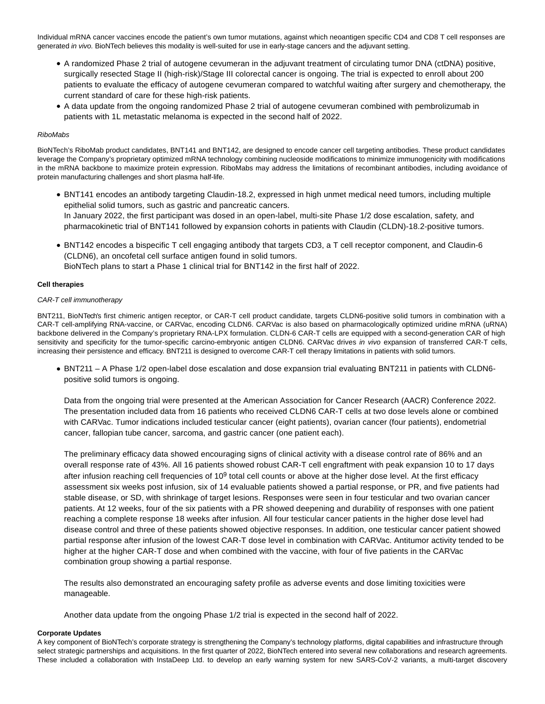Individual mRNA cancer vaccines encode the patient's own tumor mutations, against which neoantigen specific CD4 and CD8 T cell responses are generated in vivo. BioNTech believes this modality is well-suited for use in early-stage cancers and the adjuvant setting.

- A randomized Phase 2 trial of autogene cevumeran in the adjuvant treatment of circulating tumor DNA (ctDNA) positive, surgically resected Stage II (high-risk)/Stage III colorectal cancer is ongoing. The trial is expected to enroll about 200 patients to evaluate the efficacy of autogene cevumeran compared to watchful waiting after surgery and chemotherapy, the current standard of care for these high-risk patients.
- A data update from the ongoing randomized Phase 2 trial of autogene cevumeran combined with pembrolizumab in patients with 1L metastatic melanoma is expected in the second half of 2022.

#### RiboMabs

BioNTech's RiboMab product candidates, BNT141 and BNT142, are designed to encode cancer cell targeting antibodies. These product candidates leverage the Company's proprietary optimized mRNA technology combining nucleoside modifications to minimize immunogenicity with modifications in the mRNA backbone to maximize protein expression. RiboMabs may address the limitations of recombinant antibodies, including avoidance of protein manufacturing challenges and short plasma half-life.

- BNT141 encodes an antibody targeting Claudin-18.2, expressed in high unmet medical need tumors, including multiple epithelial solid tumors, such as gastric and pancreatic cancers. In January 2022, the first participant was dosed in an open-label, multi-site Phase 1/2 dose escalation, safety, and pharmacokinetic trial of BNT141 followed by expansion cohorts in patients with Claudin (CLDN)-18.2-positive tumors.
- BNT142 encodes a bispecific T cell engaging antibody that targets CD3, a T cell receptor component, and Claudin-6 (CLDN6), an oncofetal cell surface antigen found in solid tumors. BioNTech plans to start a Phase 1 clinical trial for BNT142 in the first half of 2022.

# **Cell therapies**

# CAR-T cell immunotherapy

BNT211, BioNTech's first chimeric antigen receptor, or CAR-T cell product candidate, targets CLDN6-positive solid tumors in combination with a CAR-T cell-amplifying RNA-vaccine, or CARVac, encoding CLDN6. CARVac is also based on pharmacologically optimized uridine mRNA (uRNA) backbone delivered in the Company's proprietary RNA-LPX formulation. CLDN-6 CAR-T cells are equipped with a second-generation CAR of high sensitivity and specificity for the tumor-specific carcino-embryonic antigen CLDN6. CARVac drives in vivo expansion of transferred CAR-T cells, increasing their persistence and efficacy. BNT211 is designed to overcome CAR-T cell therapy limitations in patients with solid tumors.

BNT211 – A Phase 1/2 open-label dose escalation and dose expansion trial evaluating BNT211 in patients with CLDN6 positive solid tumors is ongoing.

Data from the ongoing trial were presented at the American Association for Cancer Research (AACR) Conference 2022. The presentation included data from 16 patients who received CLDN6 CAR-T cells at two dose levels alone or combined with CARVac. Tumor indications included testicular cancer (eight patients), ovarian cancer (four patients), endometrial cancer, fallopian tube cancer, sarcoma, and gastric cancer (one patient each).

The preliminary efficacy data showed encouraging signs of clinical activity with a disease control rate of 86% and an overall response rate of 43%. All 16 patients showed robust CAR-T cell engraftment with peak expansion 10 to 17 days after infusion reaching cell frequencies of 10<sup>9</sup> total cell counts or above at the higher dose level. At the first efficacy assessment six weeks post infusion, six of 14 evaluable patients showed a partial response, or PR, and five patients had stable disease, or SD, with shrinkage of target lesions. Responses were seen in four testicular and two ovarian cancer patients. At 12 weeks, four of the six patients with a PR showed deepening and durability of responses with one patient reaching a complete response 18 weeks after infusion. All four testicular cancer patients in the higher dose level had disease control and three of these patients showed objective responses. In addition, one testicular cancer patient showed partial response after infusion of the lowest CAR-T dose level in combination with CARVac. Antitumor activity tended to be higher at the higher CAR-T dose and when combined with the vaccine, with four of five patients in the CARVac combination group showing a partial response.

The results also demonstrated an encouraging safety profile as adverse events and dose limiting toxicities were manageable.

Another data update from the ongoing Phase 1/2 trial is expected in the second half of 2022.

# **Corporate Updates**

A key component of BioNTech's corporate strategy is strengthening the Company's technology platforms, digital capabilities and infrastructure through select strategic partnerships and acquisitions. In the first quarter of 2022, BioNTech entered into several new collaborations and research agreements. These included a collaboration with InstaDeep Ltd. to develop an early warning system for new SARS-CoV-2 variants, a multi-target discovery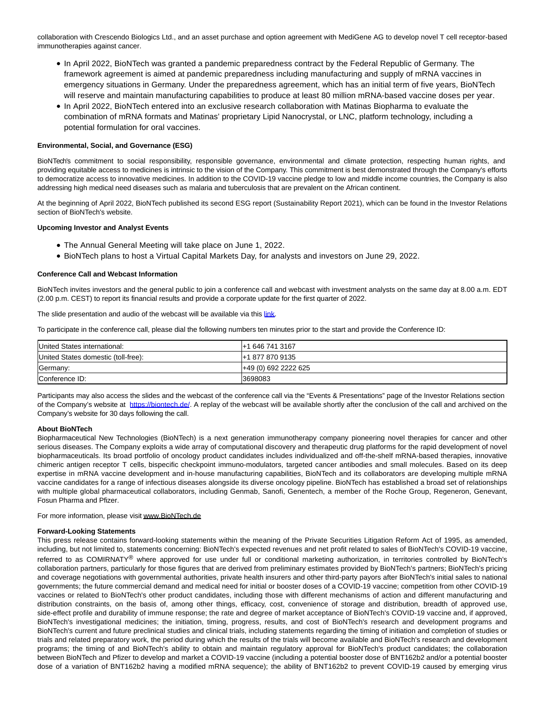collaboration with Crescendo Biologics Ltd., and an asset purchase and option agreement with MediGene AG to develop novel T cell receptor-based immunotherapies against cancer.

- In April 2022, BioNTech was granted a pandemic preparedness contract by the Federal Republic of Germany. The framework agreement is aimed at pandemic preparedness including manufacturing and supply of mRNA vaccines in emergency situations in Germany. Under the preparedness agreement, which has an initial term of five years, BioNTech will reserve and maintain manufacturing capabilities to produce at least 80 million mRNA-based vaccine doses per year.
- In April 2022, BioNTech entered into an exclusive research collaboration with Matinas Biopharma to evaluate the combination of mRNA formats and Matinas' proprietary Lipid Nanocrystal, or LNC, platform technology, including a potential formulation for oral vaccines.

#### **Environmental, Social, and Governance (ESG)**

BioNTech's commitment to social responsibility, responsible governance, environmental and climate protection, respecting human rights, and providing equitable access to medicines is intrinsic to the vision of the Company. This commitment is best demonstrated through the Company's efforts to democratize access to innovative medicines. In addition to the COVID-19 vaccine pledge to low and middle income countries, the Company is also addressing high medical need diseases such as malaria and tuberculosis that are prevalent on the African continent.

At the beginning of April 2022, BioNTech published its second ESG report (Sustainability Report 2021), which can be found in the Investor Relations section of BioNTech's website.

#### **Upcoming Investor and Analyst Events**

- The Annual General Meeting will take place on June 1, 2022.
- BioNTech plans to host a Virtual Capital Markets Day, for analysts and investors on June 29, 2022.

#### **Conference Call and Webcast Information**

BioNTech invites investors and the general public to join a conference call and webcast with investment analysts on the same day at 8.00 a.m. EDT (2.00 p.m. CEST) to report its financial results and provide a corporate update for the first quarter of 2022.

The slide presentation and audio of the webcast will be available via this [link.](https://www.globenewswire.com/Tracker?data=tT503_1v0vXbojQ28Rxpk6mfkXBbYAsvNHw_GFr7PeNLJOUL7mTrxUpnkpTnYpMWng1D7t1Mx_6d4E8eaTEi59lgS_BGE_UmGia1Kr3ZG6c=)

To participate in the conference call, please dial the following numbers ten minutes prior to the start and provide the Conference ID:

| United States international:        | l+1 646 741 3167        |
|-------------------------------------|-------------------------|
| United States domestic (toll-free): | <b>I+1 877 870 9135</b> |
| Germany:                            | +49 (0) 692 2222 625    |
| Conference ID:                      | 3698083                 |

Participants may also access the slides and the webcast of the conference call via the "Events & Presentations" page of the Investor Relations section of the Company's website at [https://biontech.de/.](https://www.globenewswire.com/Tracker?data=MkFAIN-8-R9bWzouzUE9W73Ta58qN9MECLGcsP2TFYaoS_-WGHySt3juAzOW48vL7BX4DVWc8X8v7JyVCfZY1bNwdqfuaRWMq14X9E6jloQ=) A replay of the webcast will be available shortly after the conclusion of the call and archived on the Company's website for 30 days following the call.

#### **About BioNTech**

Biopharmaceutical New Technologies (BioNTech) is a next generation immunotherapy company pioneering novel therapies for cancer and other serious diseases. The Company exploits a wide array of computational discovery and therapeutic drug platforms for the rapid development of novel biopharmaceuticals. Its broad portfolio of oncology product candidates includes individualized and off-the-shelf mRNA-based therapies, innovative chimeric antigen receptor T cells, bispecific checkpoint immuno-modulators, targeted cancer antibodies and small molecules. Based on its deep expertise in mRNA vaccine development and in-house manufacturing capabilities, BioNTech and its collaborators are developing multiple mRNA vaccine candidates for a range of infectious diseases alongside its diverse oncology pipeline. BioNTech has established a broad set of relationships with multiple global pharmaceutical collaborators, including Genmab, Sanofi, Genentech, a member of the Roche Group, Regeneron, Genevant, Fosun Pharma and Pfizer.

For more information, please visit www.BioNTech.de

#### **Forward-Looking Statements**

This press release contains forward-looking statements within the meaning of the Private Securities Litigation Reform Act of 1995, as amended, including, but not limited to, statements concerning: BioNTech's expected revenues and net profit related to sales of BioNTech's COVID-19 vaccine, referred to as COMIRNATY® where approved for use under full or conditional marketing authorization, in territories controlled by BioNTech's collaboration partners, particularly for those figures that are derived from preliminary estimates provided by BioNTech's partners; BioNTech's pricing and coverage negotiations with governmental authorities, private health insurers and other third-party payors after BioNTech's initial sales to national governments; the future commercial demand and medical need for initial or booster doses of a COVID-19 vaccine; competition from other COVID-19 vaccines or related to BioNTech's other product candidates, including those with different mechanisms of action and different manufacturing and distribution constraints, on the basis of, among other things, efficacy, cost, convenience of storage and distribution, breadth of approved use, side-effect profile and durability of immune response; the rate and degree of market acceptance of BioNTech's COVID-19 vaccine and, if approved, BioNTech's investigational medicines; the initiation, timing, progress, results, and cost of BioNTech's research and development programs and BioNTech's current and future preclinical studies and clinical trials, including statements regarding the timing of initiation and completion of studies or trials and related preparatory work, the period during which the results of the trials will become available and BioNTech's research and development programs; the timing of and BioNTech's ability to obtain and maintain regulatory approval for BioNTech's product candidates; the collaboration between BioNTech and Pfizer to develop and market a COVID-19 vaccine (including a potential booster dose of BNT162b2 and/or a potential booster dose of a variation of BNT162b2 having a modified mRNA sequence); the ability of BNT162b2 to prevent COVID-19 caused by emerging virus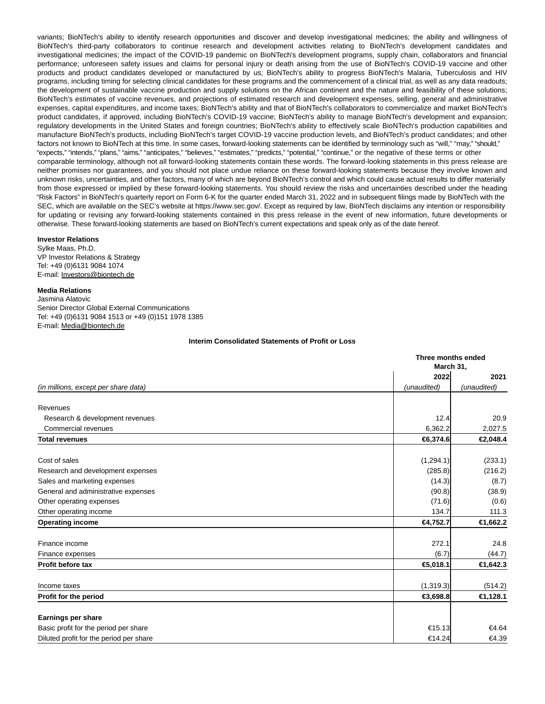variants; BioNTech's ability to identify research opportunities and discover and develop investigational medicines; the ability and willingness of BioNTech's third-party collaborators to continue research and development activities relating to BioNTech's development candidates and investigational medicines; the impact of the COVID-19 pandemic on BioNTech's development programs, supply chain, collaborators and financial performance; unforeseen safety issues and claims for personal injury or death arising from the use of BioNTech's COVID-19 vaccine and other products and product candidates developed or manufactured by us; BioNTech's ability to progress BioNTech's Malaria, Tuberculosis and HIV programs, including timing for selecting clinical candidates for these programs and the commencement of a clinical trial, as well as any data readouts; the development of sustainable vaccine production and supply solutions on the African continent and the nature and feasibility of these solutions; BioNTech's estimates of vaccine revenues, and projections of estimated research and development expenses, selling, general and administrative expenses, capital expenditures, and income taxes; BioNTech's ability and that of BioNTech's collaborators to commercialize and market BioNTech's product candidates, if approved, including BioNTech's COVID-19 vaccine; BioNTech's ability to manage BioNTech's development and expansion; regulatory developments in the United States and foreign countries; BioNTech's ability to effectively scale BioNTech's production capabilities and manufacture BioNTech's products, including BioNTech's target COVID-19 vaccine production levels, and BioNTech's product candidates; and other factors not known to BioNTech at this time. In some cases, forward-looking statements can be identified by terminology such as "will," "may," "should," "expects," "intends," "plans," "aims," "anticipates," "believes," "estimates," "predicts," "potential," "continue," or the negative of these terms or other comparable terminology, although not all forward-looking statements contain these words. The forward-looking statements in this press release are neither promises nor guarantees, and you should not place undue reliance on these forward-looking statements because they involve known and unknown risks, uncertainties, and other factors, many of which are beyond BioNTech's control and which could cause actual results to differ materially from those expressed or implied by these forward-looking statements. You should review the risks and uncertainties described under the heading "Risk Factors" in BioNTech's quarterly report on Form 6-K for the quarter ended March 31, 2022 and in subsequent filings made by BioNTech with the SEC, which are available on the SEC's website at https://www.sec.gov/. Except as required by law, BioNTech disclaims any intention or responsibility for updating or revising any forward-looking statements contained in this press release in the event of new information, future developments or otherwise. These forward-looking statements are based on BioNTech's current expectations and speak only as of the date hereof.

# **Investor Relations**

Sylke Maas, Ph.D. VP Investor Relations & Strategy Tel: +49 (0)6131 9084 1074 E-mail: Investors@biontech.de

# **Media Relations**

Jasmina Alatovic Senior Director Global External Communications Tel: +49 (0)6131 9084 1513 or +49 (0)151 1978 1385 E-mail: Media@biontech.de

#### **Interim Consolidated Statements of Profit or Loss**

|                                         |             | Three months ended<br>March 31, |  |  |
|-----------------------------------------|-------------|---------------------------------|--|--|
|                                         | 2022        | 2021                            |  |  |
| (in millions, except per share data)    | (unaudited) | (unaudited)                     |  |  |
| Revenues                                |             |                                 |  |  |
| Research & development revenues         | 12.4        | 20.9                            |  |  |
| Commercial revenues                     | 6,362.2     | 2,027.5                         |  |  |
| <b>Total revenues</b>                   | €6,374.6    | €2,048.4                        |  |  |
| Cost of sales                           | (1,294.1)   | (233.1)                         |  |  |
| Research and development expenses       | (285.8)     | (216.2)                         |  |  |
| Sales and marketing expenses            | (14.3)      | (8.7)                           |  |  |
| General and administrative expenses     | (90.8)      | (38.9)                          |  |  |
| Other operating expenses                | (71.6)      | (0.6)                           |  |  |
| Other operating income                  | 134.7       | 111.3                           |  |  |
| <b>Operating income</b>                 | €4,752.7    | €1,662.2                        |  |  |
| Finance income                          | 272.1       | 24.8                            |  |  |
| Finance expenses                        | (6.7)       | (44.7)                          |  |  |
| Profit before tax                       | €5,018.1    | €1,642.3                        |  |  |
| Income taxes                            | (1,319.3)   | (514.2)                         |  |  |
| Profit for the period                   | €3,698.8    | €1,128.1                        |  |  |
| Earnings per share                      |             |                                 |  |  |
| Basic profit for the period per share   | €15.13      | €4.64                           |  |  |
| Diluted profit for the period per share | €14.24      | €4.39                           |  |  |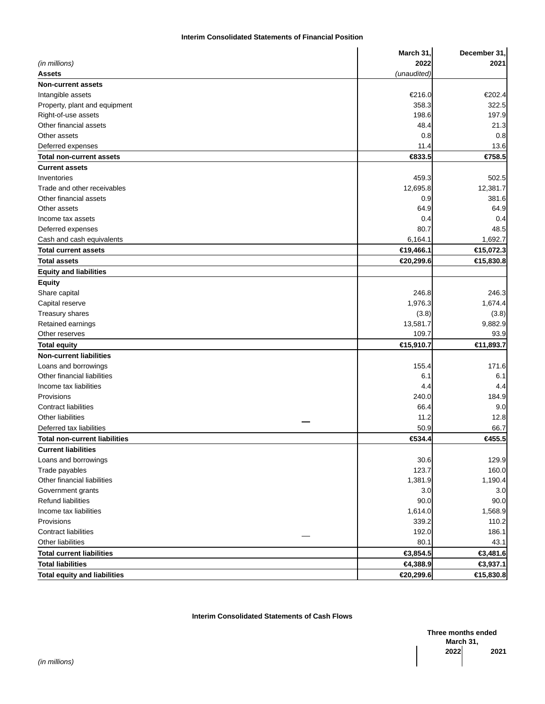# **Interim Consolidated Statements of Financial Position**

|                                      | March 31,   | December 31, |
|--------------------------------------|-------------|--------------|
| (in millions)                        | 2022        | 2021         |
| Assets                               | (unaudited) |              |
| <b>Non-current assets</b>            |             |              |
| Intangible assets                    | €216.0      | €202.4       |
| Property, plant and equipment        | 358.3       | 322.5        |
| Right-of-use assets                  | 198.6       | 197.9        |
| Other financial assets               | 48.4        | 21.3         |
| Other assets                         | 0.8         | 0.8          |
| Deferred expenses                    | 11.4        | 13.6         |
| <b>Total non-current assets</b>      | €833.5      | €758.5       |
| <b>Current assets</b>                |             |              |
| Inventories                          | 459.3       | 502.5        |
| Trade and other receivables          | 12,695.8    | 12,381.7     |
| Other financial assets               | 0.9         | 381.6        |
| Other assets                         | 64.9        | 64.9         |
| Income tax assets                    | 0.4         | 0.4          |
| Deferred expenses                    | 80.7        | 48.5         |
| Cash and cash equivalents            | 6,164.1     | 1,692.7      |
| <b>Total current assets</b>          | €19,466.1   | €15,072.3    |
| <b>Total assets</b>                  | €20,299.6   | €15,830.8    |
| <b>Equity and liabilities</b>        |             |              |
| <b>Equity</b>                        |             |              |
| Share capital                        | 246.8       | 246.3        |
| Capital reserve                      | 1,976.3     | 1,674.4      |
| <b>Treasury shares</b>               | (3.8)       | (3.8)        |
| Retained earnings                    | 13,581.7    | 9,882.9      |
| Other reserves                       | 109.7       | 93.9         |
| <b>Total equity</b>                  | €15,910.7   | €11,893.7    |
| <b>Non-current liabilities</b>       |             |              |
| Loans and borrowings                 | 155.4       | 171.6        |
| Other financial liabilities          | 6.1         | 6.1          |
| Income tax liabilities               | 4.4         | 4.4          |
| Provisions                           | 240.0       | 184.9        |
| <b>Contract liabilities</b>          | 66.4        | 9.0          |
| Other liabilities                    | 11.2        | 12.8         |
| Deferred tax liabilities             | 50.9        | 66.7         |
| <b>Total non-current liabilities</b> | €534.4      | €455.5       |
| <b>Current liabilities</b>           |             |              |
| Loans and borrowings                 | 30.6        | 129.9        |
| Trade payables                       | 123.7       | 160.0        |
| Other financial liabilities          | 1,381.9     | 1,190.4      |
| Government grants                    | 3.0         | 3.0          |
| <b>Refund liabilities</b>            | 90.0        | 90.0         |
| Income tax liabilities               | 1,614.0     | 1,568.9      |
| Provisions                           | 339.2       | 110.2        |
| <b>Contract liabilities</b>          | 192.0       | 186.1        |
| <b>Other liabilities</b>             | 80.1        | 43.1         |
| <b>Total current liabilities</b>     | €3,854.5    | €3,481.6     |
| <b>Total liabilities</b>             | €4,388.9    | €3,937.1     |
| <b>Total equity and liabilities</b>  | €20,299.6   | €15,830.8    |

**Interim Consolidated Statements of Cash Flows**